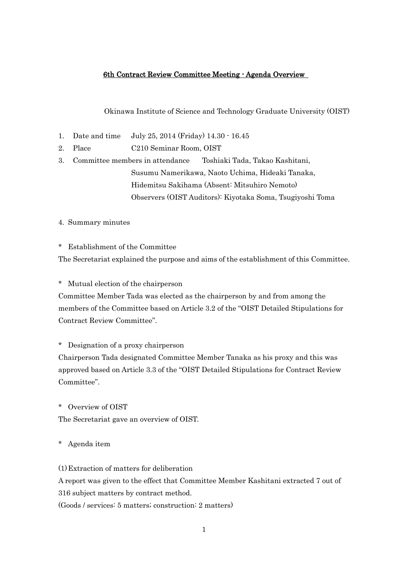#### 6th Contract Review Committee Meeting - Agenda Overview

Okinawa Institute of Science and Technology Graduate University (OIST)

- 1. Date and time July 25, 2014 (Friday) 14.30 16.45
- 2. Place C210 Seminar Room, OIST

3. Committee members in attendance Toshiaki Tada, Takao Kashitani, Susumu Namerikawa, Naoto Uchima, Hideaki Tanaka, Hidemitsu Sakihama (Absent: Mitsuhiro Nemoto) Observers (OIST Auditors): Kiyotaka Soma, Tsugiyoshi Toma

4. Summary minutes

\* Establishment of the Committee

The Secretariat explained the purpose and aims of the establishment of this Committee.

\* Mutual election of the chairperson

Committee Member Tada was elected as the chairperson by and from among the members of the Committee based on Article 3.2 of the "OIST Detailed Stipulations for Contract Review Committee".

\* Designation of a proxy chairperson

Chairperson Tada designated Committee Member Tanaka as his proxy and this was approved based on Article 3.3 of the "OIST Detailed Stipulations for Contract Review Committee".

\* Overview of OIST

The Secretariat gave an overview of OIST.

\* Agenda item

(1)Extraction of matters for deliberation A report was given to the effect that Committee Member Kashitani extracted 7 out of 316 subject matters by contract method. (Goods / services: 5 matters; construction: 2 matters)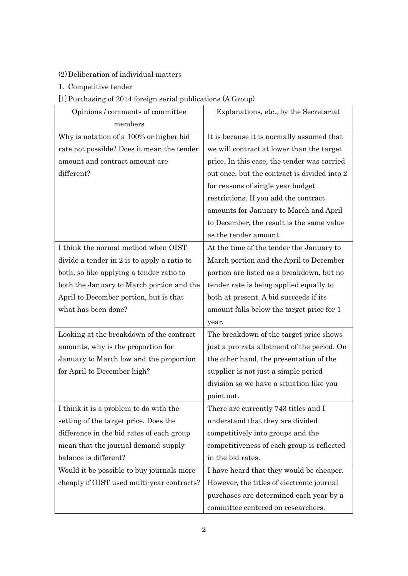### (2)Deliberation of individual matters

1. Competitive tender

## [1]Purchasing of 2014 foreign serial publications (A Group)

| Opinions / comments of committee            | Explanations, etc., by the Secretariat       |  |
|---------------------------------------------|----------------------------------------------|--|
| members                                     |                                              |  |
| Why is notation of a 100% or higher bid     | It is because it is normally assumed that    |  |
| rate not possible? Does it mean the tender  | we will contract at lower than the target    |  |
| amount and contract amount are              | price. In this case, the tender was carried  |  |
| different?                                  | out once, but the contract is divided into 2 |  |
|                                             | for reasons of single year budget            |  |
|                                             | restrictions. If you add the contract        |  |
|                                             | amounts for January to March and April       |  |
|                                             | to December, the result is the same value    |  |
|                                             | as the tender amount.                        |  |
| I think the normal method when OIST         | At the time of the tender the January to     |  |
| divide a tender in 2 is to apply a ratio to | March portion and the April to December      |  |
| both, so like applying a tender ratio to    | portion are listed as a breakdown, but no    |  |
| both the January to March portion and the   | tender rate is being applied equally to      |  |
| April to December portion, but is that      | both at present. A bid succeeds if its       |  |
| what has been done?                         | amount falls below the target price for 1    |  |
|                                             | year.                                        |  |
| Looking at the breakdown of the contract    | The breakdown of the target price shows      |  |
| amounts, why is the proportion for          | just a pro rata allotment of the period. On  |  |
| January to March low and the proportion     | the other hand, the presentation of the      |  |
| for April to December high?                 | supplier is not just a simple period         |  |
|                                             | division so we have a situation like you     |  |
|                                             | point out.                                   |  |
| I think it is a problem to do with the      | There are currently 743 titles and I         |  |
| setting of the target price. Does the       | understand that they are divided             |  |
| difference in the bid rates of each group   | competitively into groups and the            |  |
| mean that the journal demand-supply         | competitiveness of each group is reflected   |  |
| balance is different?                       | in the bid rates.                            |  |
| Would it be possible to buy journals more   | I have heard that they would be cheaper.     |  |
| cheaply if OIST used multi-year contracts?  | However, the titles of electronic journal    |  |
|                                             | purchases are determined each year by a      |  |
|                                             | committee centered on researchers.           |  |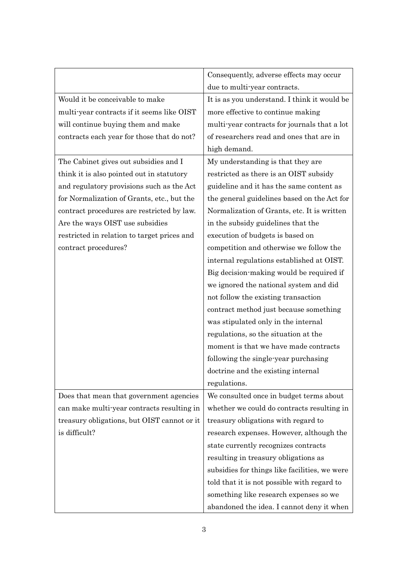|                                             | Consequently, adverse effects may occur       |  |
|---------------------------------------------|-----------------------------------------------|--|
|                                             | due to multi-year contracts.                  |  |
| Would it be conceivable to make             | It is as you understand. I think it would be  |  |
| multi-year contracts if it seems like OIST  | more effective to continue making             |  |
| will continue buying them and make          | multi-year contracts for journals that a lot  |  |
| contracts each year for those that do not?  | of researchers read and ones that are in      |  |
|                                             | high demand.                                  |  |
| The Cabinet gives out subsidies and I       | My understanding is that they are             |  |
| think it is also pointed out in statutory   | restricted as there is an OIST subsidy        |  |
| and regulatory provisions such as the Act   | guideline and it has the same content as      |  |
| for Normalization of Grants, etc., but the  | the general guidelines based on the Act for   |  |
| contract procedures are restricted by law.  | Normalization of Grants, etc. It is written   |  |
| Are the ways OIST use subsidies             | in the subsidy guidelines that the            |  |
| restricted in relation to target prices and | execution of budgets is based on              |  |
| contract procedures?                        | competition and otherwise we follow the       |  |
|                                             | internal regulations established at OIST.     |  |
|                                             | Big decision-making would be required if      |  |
|                                             | we ignored the national system and did        |  |
|                                             | not follow the existing transaction           |  |
|                                             | contract method just because something        |  |
|                                             | was stipulated only in the internal           |  |
|                                             | regulations, so the situation at the          |  |
|                                             | moment is that we have made contracts         |  |
|                                             | following the single-year purchasing          |  |
|                                             | doctrine and the existing internal            |  |
|                                             | regulations.                                  |  |
| Does that mean that government agencies     | We consulted once in budget terms about       |  |
| can make multi-year contracts resulting in  | whether we could do contracts resulting in    |  |
| treasury obligations, but OIST cannot or it | treasury obligations with regard to           |  |
| is difficult?                               | research expenses. However, although the      |  |
|                                             | state currently recognizes contracts          |  |
|                                             | resulting in treasury obligations as          |  |
|                                             | subsidies for things like facilities, we were |  |
|                                             | told that it is not possible with regard to   |  |
|                                             | something like research expenses so we        |  |
|                                             | abandoned the idea. I cannot deny it when     |  |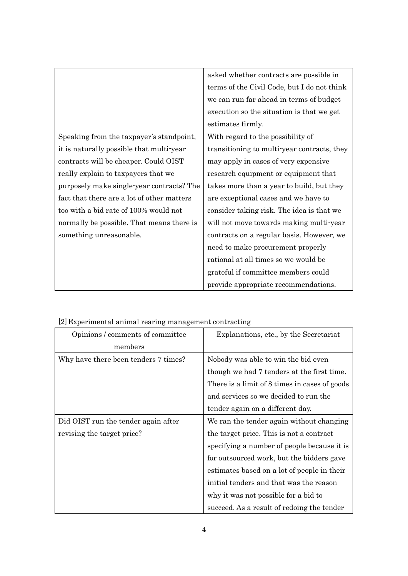|                                            | asked whether contracts are possible in     |
|--------------------------------------------|---------------------------------------------|
|                                            | terms of the Civil Code, but I do not think |
|                                            | we can run far ahead in terms of budget     |
|                                            | execution so the situation is that we get   |
|                                            | estimates firmly.                           |
| Speaking from the taxpayer's standpoint,   | With regard to the possibility of           |
| it is naturally possible that multi-year   | transitioning to multi-year contracts, they |
| contracts will be cheaper. Could OIST      | may apply in cases of very expensive        |
| really explain to taxpayers that we        | research equipment or equipment that        |
| purposely make single-year contracts? The  | takes more than a year to build, but they   |
| fact that there are a lot of other matters | are exceptional cases and we have to        |
| too with a bid rate of 100% would not      | consider taking risk. The idea is that we   |
| normally be possible. That means there is  | will not move towards making multi-year     |
| something unreasonable.                    | contracts on a regular basis. However, we   |
|                                            | need to make procurement properly           |
|                                            | rational at all times so we would be        |
|                                            | grateful if committee members could         |
|                                            | provide appropriate recommendations.        |

| Opinions / comments of committee     | Explanations, etc., by the Secretariat        |
|--------------------------------------|-----------------------------------------------|
| members                              |                                               |
| Why have there been tenders 7 times? | Nobody was able to win the bid even           |
|                                      | though we had 7 tenders at the first time.    |
|                                      | There is a limit of 8 times in cases of goods |
|                                      | and services so we decided to run the         |
|                                      | tender again on a different day.              |
| Did OIST run the tender again after  | We ran the tender again without changing      |
| revising the target price?           | the target price. This is not a contract      |
|                                      | specifying a number of people because it is   |
|                                      | for outsourced work, but the bidders gave     |
|                                      | estimates based on a lot of people in their   |
|                                      | initial tenders and that was the reason       |
|                                      | why it was not possible for a bid to          |
|                                      | succeed. As a result of redoing the tender    |
|                                      |                                               |
|                                      | 4                                             |

[2]Experimental animal rearing management contracting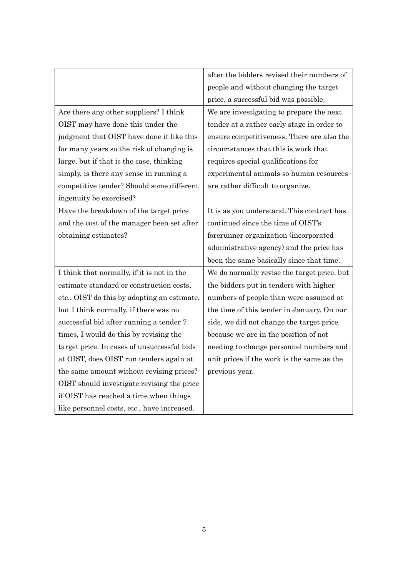|                                             | after the bidders revised their numbers of  |  |
|---------------------------------------------|---------------------------------------------|--|
|                                             | people and without changing the target      |  |
|                                             | price, a successful bid was possible.       |  |
| Are there any other suppliers? I think      | We are investigating to prepare the next    |  |
| OIST may have done this under the           | tender at a rather early stage in order to  |  |
| judgment that OIST have done it like this   | ensure competitiveness. There are also the  |  |
| for many years so the risk of changing is   | circumstances that this is work that        |  |
| large, but if that is the case, thinking    | requires special qualifications for         |  |
| simply, is there any sense in running a     | experimental animals so human resources     |  |
| competitive tender? Should some different   | are rather difficult to organize.           |  |
| ingenuity be exercised?                     |                                             |  |
| Have the breakdown of the target price      | It is as you understand. This contract has  |  |
| and the cost of the manager been set after  | continued since the time of OIST's          |  |
| obtaining estimates?                        | forerunner organization (incorporated       |  |
|                                             | administrative agency) and the price has    |  |
|                                             | been the same basically since that time.    |  |
| I think that normally, if it is not in the  | We do normally revise the target price, but |  |
| estimate standard or construction costs,    | the bidders put in tenders with higher      |  |
| etc., OIST do this by adopting an estimate, | numbers of people than were assumed at      |  |
| but I think normally, if there was no       | the time of this tender in January. On our  |  |
| successful bid after running a tender 7     | side, we did not change the target price    |  |
| times, I would do this by revising the      | because we are in the position of not       |  |
| target price. In cases of unsuccessful bids | needing to change personnel numbers and     |  |
| at OIST, does OIST run tenders again at     | unit prices if the work is the same as the  |  |
| the same amount without revising prices?    | previous year.                              |  |
| OIST should investigate revising the price  |                                             |  |
| if OIST has reached a time when things      |                                             |  |
| like personnel costs, etc., have increased. |                                             |  |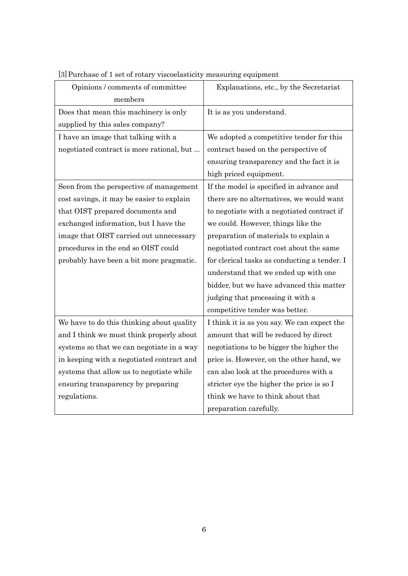| Opinions / comments of committee          | Explanations, etc., by the Secretariat       |
|-------------------------------------------|----------------------------------------------|
| members                                   |                                              |
| Does that mean this machinery is only     | It is as you understand.                     |
| supplied by this sales company?           |                                              |
| I have an image that talking with a       | We adopted a competitive tender for this     |
| negotiated contract is more rational, but | contract based on the perspective of         |
|                                           | ensuring transparency and the fact it is     |
|                                           | high priced equipment.                       |
| Seen from the perspective of management   | If the model is specified in advance and     |
| cost savings, it may be easier to explain | there are no alternatives, we would want     |
| that OIST prepared documents and          | to negotiate with a negotiated contract if   |
| exchanged information, but I have the     | we could. However, things like the           |
| image that OIST carried out unnecessary   | preparation of materials to explain a        |
| procedures in the end so OIST could       | negotiated contract cost about the same      |
| probably have been a bit more pragmatic.  | for clerical tasks as conducting a tender. I |
|                                           | understand that we ended up with one         |
|                                           | bidder, but we have advanced this matter     |
|                                           | judging that processing it with a            |
|                                           | competitive tender was better.               |
| We have to do this thinking about quality | I think it is as you say. We can expect the  |
| and I think we must think properly about  | amount that will be reduced by direct        |
| systems so that we can negotiate in a way | negotiations to be bigger the higher the     |
| in keeping with a negotiated contract and | price is. However, on the other hand, we     |
| systems that allow us to negotiate while  | can also look at the procedures with a       |
| ensuring transparency by preparing        | stricter eye the higher the price is so I    |
| regulations.                              | think we have to think about that            |
|                                           | preparation carefully.                       |

[3]Purchase of 1 set of rotary viscoelasticity measuring equipment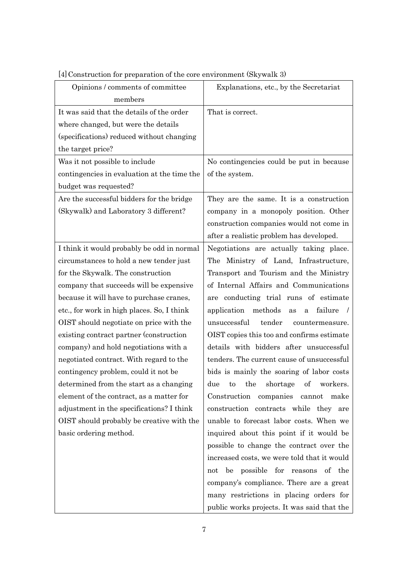| Opinions / comments of committee            | Explanations, etc., by the Secretariat                  |
|---------------------------------------------|---------------------------------------------------------|
| members                                     |                                                         |
| It was said that the details of the order   | That is correct.                                        |
| where changed, but were the details         |                                                         |
| (specifications) reduced without changing   |                                                         |
| the target price?                           |                                                         |
| Was it not possible to include              | No contingencies could be put in because                |
| contingencies in evaluation at the time the | of the system.                                          |
| budget was requested?                       |                                                         |
| Are the successful bidders for the bridge   | They are the same. It is a construction                 |
| (Skywalk) and Laboratory 3 different?       | company in a monopoly position. Other                   |
|                                             | construction companies would not come in                |
|                                             | after a realistic problem has developed.                |
| I think it would probably be odd in normal  | Negotiations are actually taking place.                 |
| circumstances to hold a new tender just     | The Ministry of Land, Infrastructure,                   |
| for the Skywalk. The construction           | Transport and Tourism and the Ministry                  |
| company that succeeds will be expensive     | of Internal Affairs and Communications                  |
| because it will have to purchase cranes,    | are conducting trial runs of estimate                   |
| etc., for work in high places. So, I think  | application methods<br>failure<br>$\sqrt{ }$<br>as<br>a |
| OIST should negotiate on price with the     | unsuccessful<br>tender<br>countermeasure.               |
| existing contract partner (construction     | OIST copies this too and confirms estimate              |
| company) and hold negotiations with a       | details with bidders after unsuccessful                 |
| negotiated contract. With regard to the     | tenders. The current cause of unsuccessful              |
| contingency problem, could it not be        | bids is mainly the soaring of labor costs               |
| determined from the start as a changing     | the<br>οf<br>due<br>shortage<br>workers.<br>to          |
| element of the contract, as a matter for    | Construction companies cannot make                      |
| adjustment in the specifications? I think   | construction contracts while they are                   |
| OIST should probably be creative with the   | unable to forecast labor costs. When we                 |
| basic ordering method.                      | inquired about this point if it would be                |
|                                             | possible to change the contract over the                |
|                                             | increased costs, we were told that it would             |
|                                             | not be possible for reasons of the                      |
|                                             | company's compliance. There are a great                 |
|                                             | many restrictions in placing orders for                 |
|                                             | public works projects. It was said that the             |

# [4]Construction for preparation of the core environment (Skywalk 3)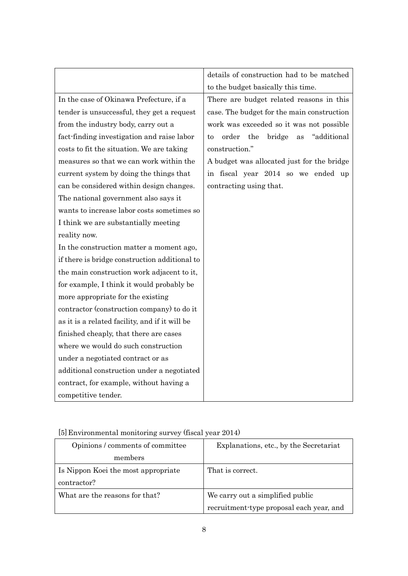|                                                | details of construction had to be matched         |
|------------------------------------------------|---------------------------------------------------|
|                                                | to the budget basically this time.                |
| In the case of Okinawa Prefecture, if a        | There are budget related reasons in this          |
| tender is unsuccessful, they get a request     | case. The budget for the main construction        |
| from the industry body, carry out a            | work was exceeded so it was not possible          |
| fact-finding investigation and raise labor     | the<br>"additional<br>order<br>bridge<br>as<br>to |
| costs to fit the situation. We are taking      | construction."                                    |
| measures so that we can work within the        | A budget was allocated just for the bridge        |
| current system by doing the things that        | in fiscal year 2014 so we ended up                |
| can be considered within design changes.       | contracting using that.                           |
| The national government also says it           |                                                   |
| wants to increase labor costs sometimes so     |                                                   |
| I think we are substantially meeting           |                                                   |
| reality now.                                   |                                                   |
| In the construction matter a moment ago,       |                                                   |
| if there is bridge construction additional to  |                                                   |
| the main construction work adjacent to it,     |                                                   |
| for example, I think it would probably be      |                                                   |
| more appropriate for the existing              |                                                   |
| contractor (construction company) to do it     |                                                   |
| as it is a related facility, and if it will be |                                                   |
| finished cheaply, that there are cases         |                                                   |
| where we would do such construction            |                                                   |
| under a negotiated contract or as              |                                                   |
| additional construction under a negotiated     |                                                   |
| contract, for example, without having a        |                                                   |
| competitive tender.                            |                                                   |

| [5] Environmental monitoring survey (fiscal year 2014) |  |  |
|--------------------------------------------------------|--|--|
|--------------------------------------------------------|--|--|

| Opinions / comments of committee    | Explanations, etc., by the Secretariat   |
|-------------------------------------|------------------------------------------|
| members                             |                                          |
| Is Nippon Koei the most appropriate | That is correct.                         |
| contractor?                         |                                          |
| What are the reasons for that?      | We carry out a simplified public         |
|                                     | recruitment type proposal each year, and |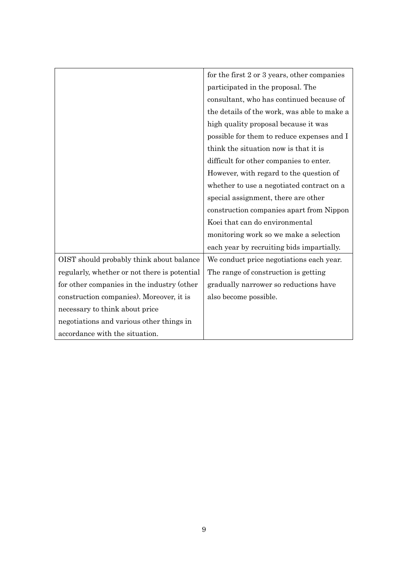|                                              | for the first 2 or 3 years, other companies |
|----------------------------------------------|---------------------------------------------|
|                                              | participated in the proposal. The           |
|                                              | consultant, who has continued because of    |
|                                              | the details of the work, was able to make a |
|                                              | high quality proposal because it was        |
|                                              | possible for them to reduce expenses and I  |
|                                              | think the situation now is that it is       |
|                                              | difficult for other companies to enter.     |
|                                              | However, with regard to the question of     |
|                                              | whether to use a negotiated contract on a   |
|                                              | special assignment, there are other         |
|                                              | construction companies apart from Nippon    |
|                                              | Koei that can do environmental              |
|                                              | monitoring work so we make a selection      |
|                                              | each year by recruiting bids impartially.   |
| OIST should probably think about balance     | We conduct price negotiations each year.    |
| regularly, whether or not there is potential | The range of construction is getting        |
| for other companies in the industry (other   | gradually narrower so reductions have       |
| construction companies). Moreover, it is     | also become possible.                       |
| necessary to think about price               |                                             |
| negotiations and various other things in     |                                             |
| accordance with the situation.               |                                             |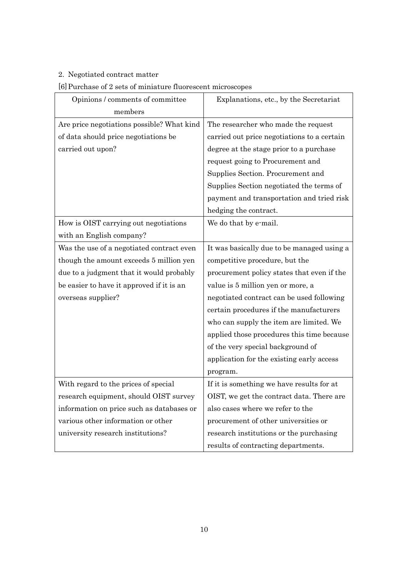### 2. Negotiated contract matter

### [6]Purchase of 2 sets of miniature fluorescent microscopes

| Opinions / comments of committee           | Explanations, etc., by the Secretariat      |  |
|--------------------------------------------|---------------------------------------------|--|
| members                                    |                                             |  |
| Are price negotiations possible? What kind | The researcher who made the request         |  |
| of data should price negotiations be       | carried out price negotiations to a certain |  |
| carried out upon?                          | degree at the stage prior to a purchase     |  |
|                                            | request going to Procurement and            |  |
|                                            | Supplies Section. Procurement and           |  |
|                                            | Supplies Section negotiated the terms of    |  |
|                                            | payment and transportation and tried risk   |  |
|                                            | hedging the contract.                       |  |
| How is OIST carrying out negotiations      | We do that by e-mail.                       |  |
| with an English company?                   |                                             |  |
| Was the use of a negotiated contract even  | It was basically due to be managed using a  |  |
| though the amount exceeds 5 million yen    | competitive procedure, but the              |  |
| due to a judgment that it would probably   | procurement policy states that even if the  |  |
| be easier to have it approved if it is an  | value is 5 million yen or more, a           |  |
| overseas supplier?                         | negotiated contract can be used following   |  |
|                                            | certain procedures if the manufacturers     |  |
|                                            | who can supply the item are limited. We     |  |
|                                            | applied those procedures this time because  |  |
|                                            | of the very special background of           |  |
|                                            | application for the existing early access   |  |
|                                            | program.                                    |  |
| With regard to the prices of special       | If it is something we have results for at   |  |
| research equipment, should OIST survey     | OIST, we get the contract data. There are   |  |
| information on price such as databases or  | also cases where we refer to the            |  |
| various other information or other         | procurement of other universities or        |  |
| university research institutions?          | research institutions or the purchasing     |  |
|                                            | results of contracting departments.         |  |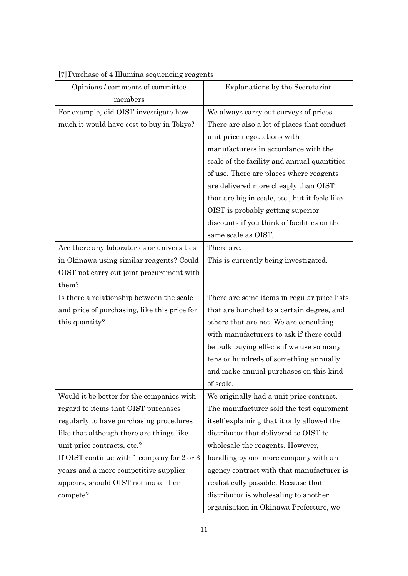| Opinions / comments of committee             | Explanations by the Secretariat                |
|----------------------------------------------|------------------------------------------------|
| members                                      |                                                |
| For example, did OIST investigate how        | We always carry out surveys of prices.         |
| much it would have cost to buy in Tokyo?     | There are also a lot of places that conduct    |
|                                              | unit price negotiations with                   |
|                                              | manufacturers in accordance with the           |
|                                              | scale of the facility and annual quantities    |
|                                              | of use. There are places where reagents        |
|                                              | are delivered more cheaply than OIST           |
|                                              | that are big in scale, etc., but it feels like |
|                                              | OIST is probably getting superior              |
|                                              | discounts if you think of facilities on the    |
|                                              | same scale as OIST.                            |
| Are there any laboratories or universities   | There are.                                     |
| in Okinawa using similar reagents? Could     | This is currently being investigated.          |
| OIST not carry out joint procurement with    |                                                |
| them?                                        |                                                |
| Is there a relationship between the scale    | There are some items in regular price lists    |
| and price of purchasing, like this price for | that are bunched to a certain degree, and      |
| this quantity?                               | others that are not. We are consulting         |
|                                              | with manufacturers to ask if there could       |
|                                              | be bulk buying effects if we use so many       |
|                                              | tens or hundreds of something annually         |
|                                              | and make annual purchases on this kind         |
|                                              | of scale.                                      |
| Would it be better for the companies with    | We originally had a unit price contract.       |
| regard to items that OIST purchases          | The manufacturer sold the test equipment       |
| regularly to have purchasing procedures      | itself explaining that it only allowed the     |
| like that although there are things like     | distributor that delivered to OIST to          |
| unit price contracts, etc.?                  | wholesale the reagents. However,               |
| If OIST continue with 1 company for 2 or 3   | handling by one more company with an           |
| years and a more competitive supplier        | agency contract with that manufacturer is      |
| appears, should OIST not make them           | realistically possible. Because that           |
| compete?                                     | distributor is wholesaling to another          |
|                                              | organization in Okinawa Prefecture, we         |

## [7]Purchase of 4 Illumina sequencing reagents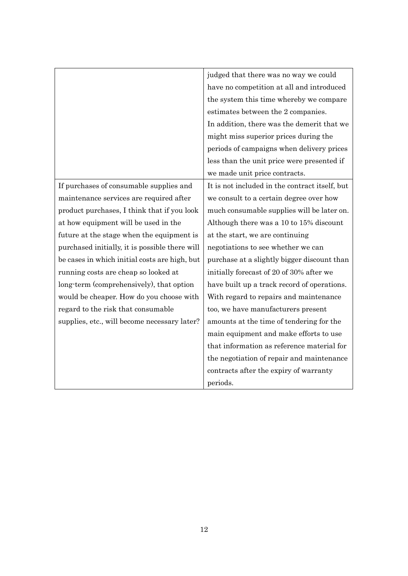|                                                | judged that there was no way we could          |
|------------------------------------------------|------------------------------------------------|
|                                                | have no competition at all and introduced      |
|                                                | the system this time whereby we compare        |
|                                                | estimates between the 2 companies.             |
|                                                | In addition, there was the demerit that we     |
|                                                | might miss superior prices during the          |
|                                                | periods of campaigns when delivery prices      |
|                                                | less than the unit price were presented if     |
|                                                | we made unit price contracts.                  |
| If purchases of consumable supplies and        | It is not included in the contract itself, but |
| maintenance services are required after        | we consult to a certain degree over how        |
| product purchases, I think that if you look    | much consumable supplies will be later on.     |
| at how equipment will be used in the           | Although there was a 10 to 15% discount        |
| future at the stage when the equipment is      | at the start, we are continuing                |
| purchased initially, it is possible there will | negotiations to see whether we can             |
| be cases in which initial costs are high, but  | purchase at a slightly bigger discount than    |
| running costs are cheap so looked at           | initially forecast of 20 of 30% after we       |
| long-term (comprehensively), that option       | have built up a track record of operations.    |
| would be cheaper. How do you choose with       | With regard to repairs and maintenance         |
| regard to the risk that consumable             | too, we have manufacturers present             |
| supplies, etc., will become necessary later?   | amounts at the time of tendering for the       |
|                                                | main equipment and make efforts to use         |
|                                                | that information as reference material for     |
|                                                | the negotiation of repair and maintenance      |
|                                                | contracts after the expiry of warranty         |
|                                                | periods.                                       |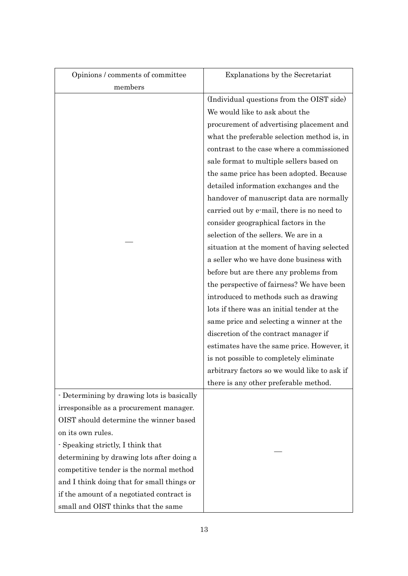| Opinions / comments of committee           | Explanations by the Secretariat              |
|--------------------------------------------|----------------------------------------------|
| members                                    |                                              |
|                                            | (Individual questions from the OIST side)    |
|                                            | We would like to ask about the               |
|                                            | procurement of advertising placement and     |
|                                            | what the preferable selection method is, in  |
|                                            | contrast to the case where a commissioned    |
|                                            | sale format to multiple sellers based on     |
|                                            | the same price has been adopted. Because     |
|                                            | detailed information exchanges and the       |
|                                            | handover of manuscript data are normally     |
|                                            | carried out by e-mail, there is no need to   |
|                                            | consider geographical factors in the         |
|                                            | selection of the sellers. We are in a        |
|                                            | situation at the moment of having selected   |
|                                            | a seller who we have done business with      |
|                                            | before but are there any problems from       |
|                                            | the perspective of fairness? We have been    |
|                                            | introduced to methods such as drawing        |
|                                            | lots if there was an initial tender at the   |
|                                            | same price and selecting a winner at the     |
|                                            | discretion of the contract manager if        |
|                                            | estimates have the same price. However, it   |
|                                            | is not possible to completely eliminate      |
|                                            | arbitrary factors so we would like to ask if |
|                                            | there is any other preferable method.        |
| - Determining by drawing lots is basically |                                              |
| irresponsible as a procurement manager.    |                                              |
| OIST should determine the winner based     |                                              |
| on its own rules.                          |                                              |
| - Speaking strictly, I think that          |                                              |
| determining by drawing lots after doing a  |                                              |
| competitive tender is the normal method    |                                              |
| and I think doing that for small things or |                                              |
| if the amount of a negotiated contract is  |                                              |
| small and OIST thinks that the same        |                                              |